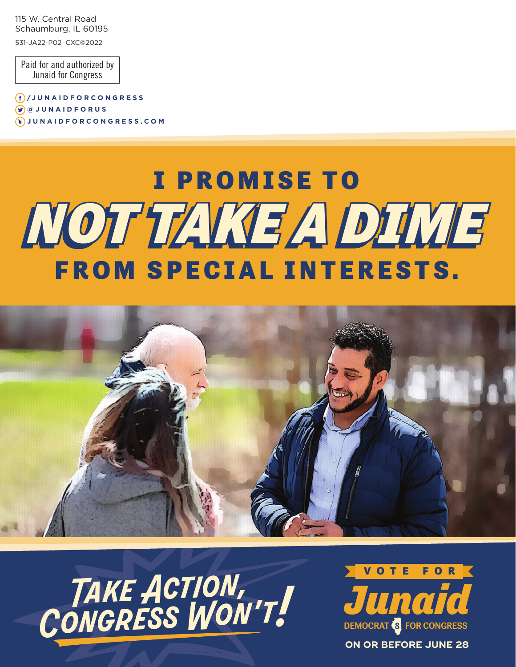115 W. Central Road Schaumburg, IL 60195 531-JA22-P02 CXC©2022

Paid for and authorized by Junaid for Congress

**/J U N A I D F O R C O N G R E S S @ J U N A I D F O R U S JUNAIDFORCONGRESS.COM**

## *NOT TAKE A DIME NOT TAKE A DIME* I PROMISE TO FROM SPECIAL INTERESTS.



 *Take Action, Congress Won't!*